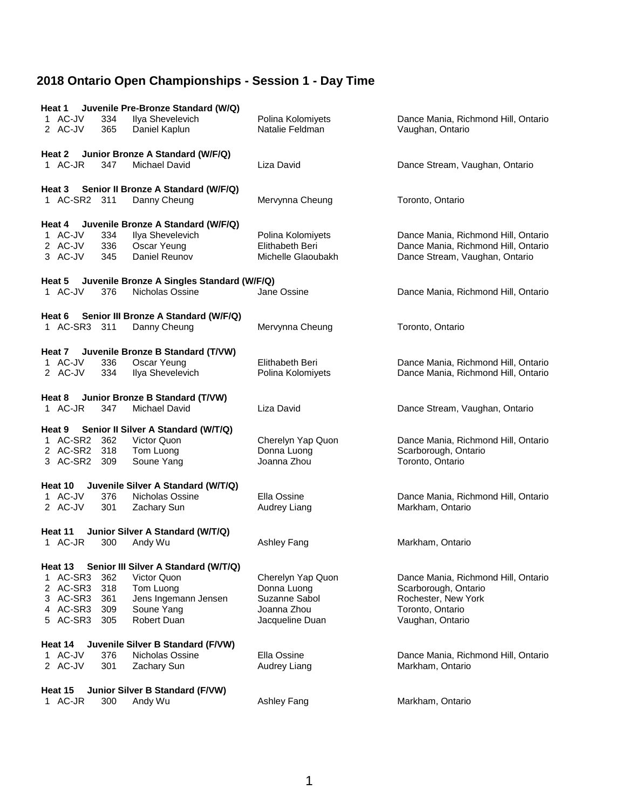| Juvenile Pre-Bronze Standard (W/Q)<br>Heat 1<br>1 AC-JV<br>Ilya Shevelevich<br>334<br>2 AC-JV<br>365<br>Daniel Kaplun                                                                                                                                                                                                                                     | Polina Kolomiyets<br>Natalie Feldman                                                                               | Dance Mania, Richmond Hill, Ontario<br>Vaughan, Ontario                                                                                                                               |
|-----------------------------------------------------------------------------------------------------------------------------------------------------------------------------------------------------------------------------------------------------------------------------------------------------------------------------------------------------------|--------------------------------------------------------------------------------------------------------------------|---------------------------------------------------------------------------------------------------------------------------------------------------------------------------------------|
| Junior Bronze A Standard (W/F/Q)<br>Heat 2<br>1 AC-JR<br>347<br>Michael David                                                                                                                                                                                                                                                                             | Liza David                                                                                                         | Dance Stream, Vaughan, Ontario                                                                                                                                                        |
| Senior II Bronze A Standard (W/F/Q)<br>Heat 3<br>Danny Cheung<br>1 AC-SR2 311                                                                                                                                                                                                                                                                             | Mervynna Cheung                                                                                                    | Toronto, Ontario                                                                                                                                                                      |
| Juvenile Bronze A Standard (W/F/Q)<br>Heat 4<br>1 AC-JV<br>334<br>Ilya Shevelevich<br>2 AC-JV<br>336<br>Oscar Yeung<br>3 AC-JV<br>Daniel Reunov<br>345                                                                                                                                                                                                    | Polina Kolomiyets<br>Elithabeth Beri<br>Michelle Glaoubakh                                                         | Dance Mania, Richmond Hill, Ontario<br>Dance Mania, Richmond Hill, Ontario<br>Dance Stream, Vaughan, Ontario                                                                          |
| Juvenile Bronze A Singles Standard (W/F/Q)<br>Heat 5<br>1 AC-JV<br>Nicholas Ossine<br>376                                                                                                                                                                                                                                                                 | Jane Ossine                                                                                                        | Dance Mania, Richmond Hill, Ontario                                                                                                                                                   |
| Senior III Bronze A Standard (W/F/Q)<br>Heat 6<br>1 AC-SR3 311<br>Danny Cheung                                                                                                                                                                                                                                                                            | Mervynna Cheung                                                                                                    | Toronto, Ontario                                                                                                                                                                      |
| Heat 7 Juvenile Bronze B Standard (T/VW)<br>1 AC-JV<br>336<br>Oscar Yeung<br>2 AC-JV<br>334<br>Ilya Shevelevich                                                                                                                                                                                                                                           | Elithabeth Beri<br>Polina Kolomiyets                                                                               | Dance Mania, Richmond Hill, Ontario<br>Dance Mania, Richmond Hill, Ontario                                                                                                            |
| Junior Bronze B Standard (T/VW)<br>Heat 8<br>1 AC-JR<br>347<br>Michael David                                                                                                                                                                                                                                                                              | Liza David                                                                                                         | Dance Stream, Vaughan, Ontario                                                                                                                                                        |
| Heat 9<br>Senior II Silver A Standard (W/T/Q)<br>Victor Quon<br>1 AC-SR2 362<br>2 AC-SR2 318<br>Tom Luong<br>3 AC-SR2 309<br>Soune Yang                                                                                                                                                                                                                   | Cherelyn Yap Quon<br>Donna Luong<br>Joanna Zhou                                                                    | Dance Mania, Richmond Hill, Ontario<br>Scarborough, Ontario<br>Toronto, Ontario                                                                                                       |
| Juvenile Silver A Standard (W/T/Q)<br>Heat 10<br>1 AC-JV<br>376<br>Nicholas Ossine<br>2 AC-JV<br>301<br>Zachary Sun                                                                                                                                                                                                                                       | Ella Ossine<br>Audrey Liang                                                                                        | Dance Mania, Richmond Hill, Ontario<br>Markham, Ontario                                                                                                                               |
| Junior Silver A Standard (W/T/Q)<br>Heat 11<br>1 AC-JR<br>300<br>Andy Wu                                                                                                                                                                                                                                                                                  | Ashley Fang                                                                                                        | Markham, Ontario                                                                                                                                                                      |
| Heat 13 Senior III Silver A Standard (W/T/Q)<br>1 AC-SR3<br>362<br>Victor Quon<br>2 AC-SR3<br>318<br>Tom Luong<br>3 AC-SR3<br>361<br>Jens Ingemann Jensen<br>4 AC-SR3<br>309<br>Soune Yang<br>5 AC-SR3<br>Robert Duan<br>305<br>Juvenile Silver B Standard (F/VW)<br>Heat 14<br>1 AC-JV<br>376<br>Nicholas Ossine<br>2 AC-JV<br>301<br><b>Zachary Sun</b> | Cherelyn Yap Quon<br>Donna Luong<br>Suzanne Sabol<br>Joanna Zhou<br>Jacqueline Duan<br>Ella Ossine<br>Audrey Liang | Dance Mania, Richmond Hill, Ontario<br>Scarborough, Ontario<br>Rochester, New York<br>Toronto, Ontario<br>Vaughan, Ontario<br>Dance Mania, Richmond Hill, Ontario<br>Markham, Ontario |
| Junior Silver B Standard (F/VW)<br>Heat 15<br>1 AC-JR<br>300<br>Andy Wu                                                                                                                                                                                                                                                                                   | <b>Ashley Fang</b>                                                                                                 | Markham, Ontario                                                                                                                                                                      |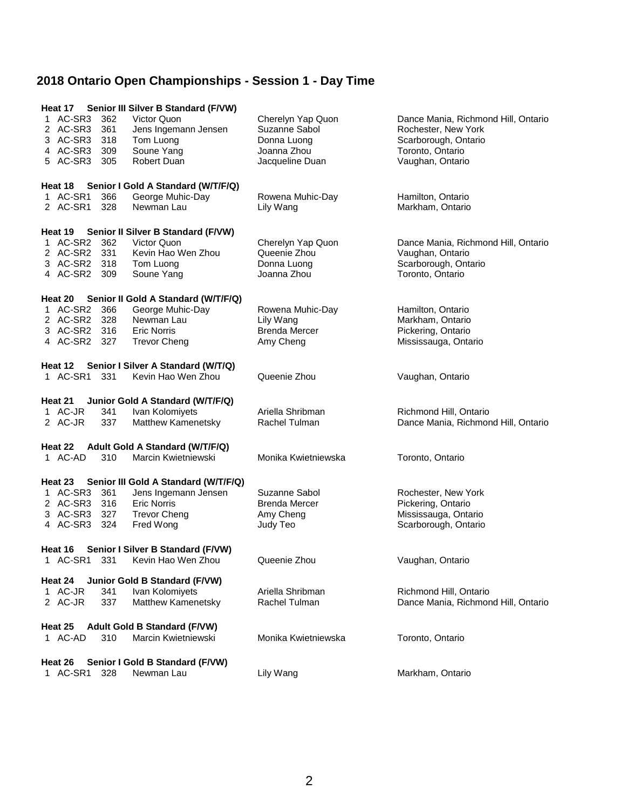| Heat 17 Senior III Silver B Standard (F/VW)                                 |                                   |                                     |  |  |  |  |
|-----------------------------------------------------------------------------|-----------------------------------|-------------------------------------|--|--|--|--|
| 1 AC-SR3<br>362<br>Victor Quon                                              | Cherelyn Yap Quon                 | Dance Mania, Richmond Hill, Ontario |  |  |  |  |
| 2 AC-SR3<br>361<br>Jens Ingemann Jensen                                     | Suzanne Sabol                     | Rochester, New York                 |  |  |  |  |
| 3 AC-SR3<br>318<br>Tom Luong                                                | Donna Luong                       | Scarborough, Ontario                |  |  |  |  |
| 4 AC-SR3<br>Soune Yang<br>309                                               | Joanna Zhou                       | Toronto, Ontario                    |  |  |  |  |
| 5 AC-SR3<br>Robert Duan<br>305                                              | Jacqueline Duan                   | Vaughan, Ontario                    |  |  |  |  |
| Senior I Gold A Standard (W/T/F/Q)<br>Heat 18                               |                                   |                                     |  |  |  |  |
| George Muhic-Day<br>1 AC-SR1<br>366                                         | Rowena Muhic-Day                  | Hamilton, Ontario                   |  |  |  |  |
| 328<br>Newman Lau<br>2 AC-SR1                                               | Lily Wang                         | Markham, Ontario                    |  |  |  |  |
|                                                                             |                                   |                                     |  |  |  |  |
| Heat 19 Senior II Silver B Standard (F/VW)                                  |                                   |                                     |  |  |  |  |
| 1 AC-SR2<br>362<br>Victor Quon                                              | Cherelyn Yap Quon                 | Dance Mania, Richmond Hill, Ontario |  |  |  |  |
| 2 AC-SR2 331<br>Kevin Hao Wen Zhou                                          | Queenie Zhou                      | Vaughan, Ontario                    |  |  |  |  |
| 3 AC-SR2 318<br>Tom Luong                                                   | Donna Luong                       | Scarborough, Ontario                |  |  |  |  |
| 4 AC-SR2 309<br>Soune Yang                                                  | Joanna Zhou                       | Toronto, Ontario                    |  |  |  |  |
| Heat 20 Senior II Gold A Standard (W/T/F/Q)                                 |                                   |                                     |  |  |  |  |
| 1 AC-SR2 366<br>George Muhic-Day                                            | Rowena Muhic-Day                  | Hamilton, Ontario                   |  |  |  |  |
| 2 AC-SR2<br>328<br>Newman Lau                                               | Lily Wang                         | Markham, Ontario                    |  |  |  |  |
| 3 AC-SR2 316<br><b>Eric Norris</b>                                          | <b>Brenda Mercer</b>              | Pickering, Ontario                  |  |  |  |  |
| 4 AC-SR2 327<br>Trevor Cheng                                                | Amy Cheng                         | Mississauga, Ontario                |  |  |  |  |
| Heat 12<br>Senior I Silver A Standard (W/T/Q)                               |                                   |                                     |  |  |  |  |
| 1 AC-SR1<br>331<br>Kevin Hao Wen Zhou                                       | Queenie Zhou                      | Vaughan, Ontario                    |  |  |  |  |
|                                                                             |                                   |                                     |  |  |  |  |
| Heat 21<br>Junior Gold A Standard (W/T/F/Q)                                 |                                   |                                     |  |  |  |  |
| 1 AC-JR<br>Ivan Kolomiyets<br>341                                           | Ariella Shribman                  | Richmond Hill, Ontario              |  |  |  |  |
| 337<br>Matthew Kamenetsky<br>2 AC-JR                                        | Rachel Tulman                     | Dance Mania, Richmond Hill, Ontario |  |  |  |  |
| Heat 22 Adult Gold A Standard (W/T/F/Q)                                     |                                   |                                     |  |  |  |  |
| 1 AC-AD<br>Marcin Kwietniewski<br>310                                       | Monika Kwietniewska               | Toronto, Ontario                    |  |  |  |  |
|                                                                             |                                   |                                     |  |  |  |  |
| Senior III Gold A Standard (W/T/F/Q)<br>Heat 23                             |                                   |                                     |  |  |  |  |
| 1 AC-SR3 361<br>Jens Ingemann Jensen                                        | Suzanne Sabol                     | Rochester, New York                 |  |  |  |  |
| 2 AC-SR3<br>316<br><b>Eric Norris</b>                                       | <b>Brenda Mercer</b>              | Pickering, Ontario                  |  |  |  |  |
| 3 AC-SR3 327<br><b>Trevor Cheng</b>                                         | Amy Cheng                         | Mississauga, Ontario                |  |  |  |  |
| 4 AC-SR3 324<br>Fred Wong                                                   | Judy Teo                          | Scarborough, Ontario                |  |  |  |  |
| Senior I Silver B Standard (F/VW)<br>Heat 16                                |                                   |                                     |  |  |  |  |
| 1 AC-SR1 331 Kevin Hao Wen Zhou                                             | Queenie Zhou                      | Vaughan, Ontario                    |  |  |  |  |
|                                                                             |                                   |                                     |  |  |  |  |
| Junior Gold B Standard (F/VW)<br>Heat 24                                    |                                   |                                     |  |  |  |  |
| 1 AC-JR<br>341<br>Ivan Kolomiyets                                           | Ariella Shribman<br>Rachel Tulman | Richmond Hill, Ontario              |  |  |  |  |
| 2 AC-JR<br>337<br>Matthew Kamenetsky                                        |                                   | Dance Mania, Richmond Hill, Ontario |  |  |  |  |
| <b>Adult Gold B Standard (F/VW)</b><br>Heat 25                              |                                   |                                     |  |  |  |  |
| 1 AC-AD<br>310<br>Marcin Kwietniewski                                       | Monika Kwietniewska               | Toronto, Ontario                    |  |  |  |  |
|                                                                             |                                   |                                     |  |  |  |  |
| Senior I Gold B Standard (F/VW)<br>Heat 26<br>1 AC-SR1<br>328<br>Newman Lau | Lily Wang                         | Markham, Ontario                    |  |  |  |  |
|                                                                             |                                   |                                     |  |  |  |  |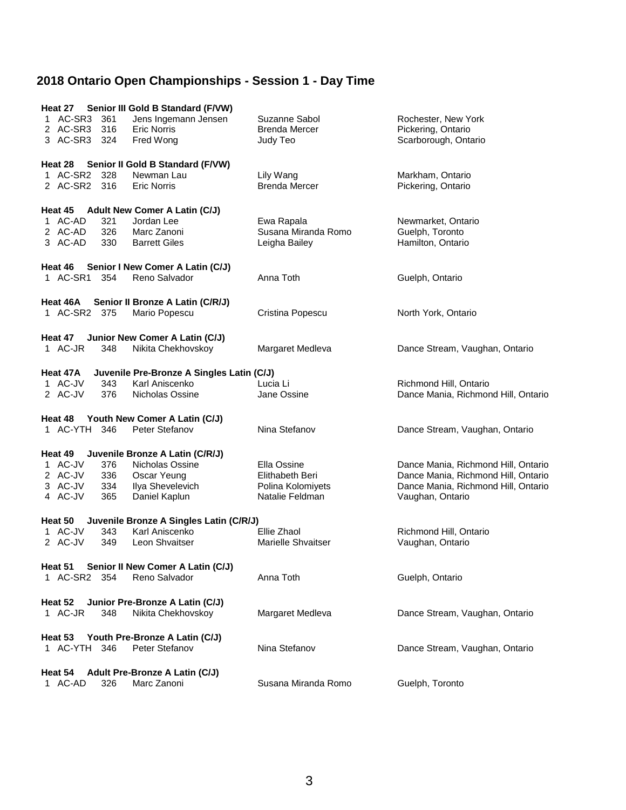| Heat 27 Senior III Gold B Standard (F/VW)<br>AC-SR3<br>361<br>2 AC-SR3 316<br>3 AC-SR3 324 | Jens Ingemann Jensen<br><b>Eric Norris</b><br>Fred Wong | Suzanne Sabol<br><b>Brenda Mercer</b><br>Judy Teo  | Rochester, New York<br>Pickering, Ontario<br>Scarborough, Ontario |  |  |  |  |  |
|--------------------------------------------------------------------------------------------|---------------------------------------------------------|----------------------------------------------------|-------------------------------------------------------------------|--|--|--|--|--|
| Heat 28                                                                                    | Senior II Gold B Standard (F/VW)                        |                                                    |                                                                   |  |  |  |  |  |
| 1 AC-SR2 328<br>2 AC-SR2 316                                                               | Newman Lau<br><b>Eric Norris</b>                        | Lily Wang<br><b>Brenda Mercer</b>                  | Markham, Ontario<br>Pickering, Ontario                            |  |  |  |  |  |
| Heat 45 Adult New Comer A Latin (C/J)                                                      |                                                         |                                                    |                                                                   |  |  |  |  |  |
| 1 AC-AD<br>321<br>2 AC-AD<br>326<br>3 AC-AD<br>330                                         | Jordan Lee<br>Marc Zanoni<br><b>Barrett Giles</b>       | Ewa Rapala<br>Susana Miranda Romo<br>Leigha Bailey | Newmarket, Ontario<br>Guelph, Toronto<br>Hamilton, Ontario        |  |  |  |  |  |
| Heat 46                                                                                    | Senior I New Comer A Latin (C/J)                        |                                                    |                                                                   |  |  |  |  |  |
| 1 AC-SR1<br>354                                                                            | Reno Salvador                                           | Anna Toth                                          | Guelph, Ontario                                                   |  |  |  |  |  |
|                                                                                            |                                                         |                                                    |                                                                   |  |  |  |  |  |
| Heat 46A                                                                                   | Senior II Bronze A Latin (C/R/J)                        |                                                    |                                                                   |  |  |  |  |  |
| 1 AC-SR2 375                                                                               | Mario Popescu                                           | Cristina Popescu                                   | North York, Ontario                                               |  |  |  |  |  |
| Heat 47<br>1 AC-JR<br>348                                                                  | Junior New Comer A Latin (C/J)<br>Nikita Chekhovskoy    | Margaret Medleva                                   | Dance Stream, Vaughan, Ontario                                    |  |  |  |  |  |
| Heat 47A                                                                                   | Juvenile Pre-Bronze A Singles Latin (C/J)               |                                                    |                                                                   |  |  |  |  |  |
| 1 AC-JV<br>343                                                                             | Karl Aniscenko                                          | Lucia Li                                           | Richmond Hill, Ontario                                            |  |  |  |  |  |
| 2 AC-JV<br>376                                                                             | Nicholas Ossine                                         | Jane Ossine                                        | Dance Mania, Richmond Hill, Ontario                               |  |  |  |  |  |
|                                                                                            |                                                         |                                                    |                                                                   |  |  |  |  |  |
| Heat 48<br>1 AC-YTH 346                                                                    | Youth New Comer A Latin (C/J)<br>Peter Stefanov         | Nina Stefanov                                      | Dance Stream, Vaughan, Ontario                                    |  |  |  |  |  |
|                                                                                            |                                                         |                                                    |                                                                   |  |  |  |  |  |
| Heat 49                                                                                    | Juvenile Bronze A Latin (C/R/J)                         |                                                    |                                                                   |  |  |  |  |  |
| 1 AC-JV<br>376                                                                             | Nicholas Ossine                                         | Ella Ossine                                        | Dance Mania, Richmond Hill, Ontario                               |  |  |  |  |  |
| 2 AC-JV<br>336                                                                             | Oscar Yeung                                             | Elithabeth Beri                                    | Dance Mania, Richmond Hill, Ontario                               |  |  |  |  |  |
| 3 AC-JV<br>334                                                                             | Ilya Shevelevich                                        | Polina Kolomiyets                                  | Dance Mania, Richmond Hill, Ontario                               |  |  |  |  |  |
| 4 AC-JV<br>365                                                                             | Daniel Kaplun                                           | Natalie Feldman                                    | Vaughan, Ontario                                                  |  |  |  |  |  |
|                                                                                            | Juvenile Bronze A Singles Latin (C/R/J)                 |                                                    |                                                                   |  |  |  |  |  |
| Heat 50<br>1 AC-JV<br>343                                                                  | Karl Aniscenko                                          | Ellie Zhaol                                        | Richmond Hill, Ontario                                            |  |  |  |  |  |
| 349<br>2 AC-JV                                                                             | Leon Shvaitser                                          | <b>Marielle Shvaitser</b>                          | Vaughan, Ontario                                                  |  |  |  |  |  |
|                                                                                            |                                                         |                                                    |                                                                   |  |  |  |  |  |
| Heat 51                                                                                    | Senior II New Comer A Latin (C/J)                       |                                                    |                                                                   |  |  |  |  |  |
| 1 AC-SR2<br>354                                                                            | Reno Salvador                                           | Anna Toth                                          | Guelph, Ontario                                                   |  |  |  |  |  |
|                                                                                            |                                                         |                                                    |                                                                   |  |  |  |  |  |
| Heat 52                                                                                    | Junior Pre-Bronze A Latin (C/J)                         |                                                    |                                                                   |  |  |  |  |  |
| 1 AC-JR<br>348                                                                             | Nikita Chekhovskoy                                      | Margaret Medleva                                   | Dance Stream, Vaughan, Ontario                                    |  |  |  |  |  |
|                                                                                            |                                                         |                                                    |                                                                   |  |  |  |  |  |
| Heat 53<br>1 AC-YTH 346                                                                    | Youth Pre-Bronze A Latin (C/J)<br>Peter Stefanov        | Nina Stefanov                                      | Dance Stream, Vaughan, Ontario                                    |  |  |  |  |  |
|                                                                                            |                                                         |                                                    |                                                                   |  |  |  |  |  |
| Adult Pre-Bronze A Latin (C/J)<br>Heat 54                                                  |                                                         |                                                    |                                                                   |  |  |  |  |  |
| 1 AC-AD<br>326                                                                             | Marc Zanoni                                             | Susana Miranda Romo                                | Guelph, Toronto                                                   |  |  |  |  |  |
|                                                                                            |                                                         |                                                    |                                                                   |  |  |  |  |  |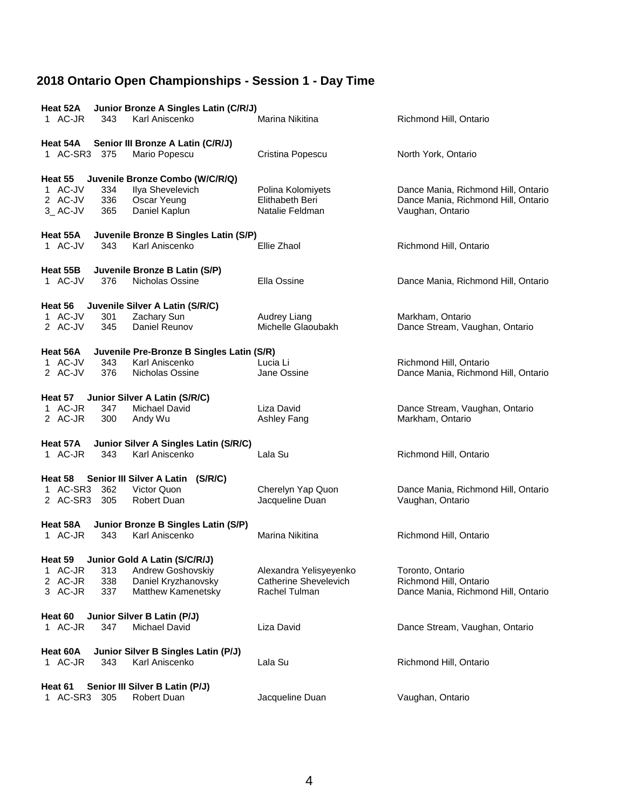| Heat 52A<br>Junior Bronze A Singles Latin (C/R/J) |            |                                           |                                    |                                                         |  |
|---------------------------------------------------|------------|-------------------------------------------|------------------------------------|---------------------------------------------------------|--|
| 1 AC-JR                                           | 343        | Karl Aniscenko                            | Marina Nikitina                    | Richmond Hill, Ontario                                  |  |
| Heat 54A                                          |            | Senior III Bronze A Latin (C/R/J)         |                                    |                                                         |  |
| 1 AC-SR3                                          | 375        | Mario Popescu                             | Cristina Popescu                   | North York, Ontario                                     |  |
| Heat 55                                           |            | Juvenile Bronze Combo (W/C/R/Q)           |                                    |                                                         |  |
| 1 AC-JV                                           | 334        | Ilya Shevelevich                          | Polina Kolomiyets                  | Dance Mania, Richmond Hill, Ontario                     |  |
| 2 AC-JV<br>3_AC-JV                                | 336<br>365 | Oscar Yeung<br>Daniel Kaplun              | Elithabeth Beri<br>Natalie Feldman | Dance Mania, Richmond Hill, Ontario<br>Vaughan, Ontario |  |
|                                                   |            |                                           |                                    |                                                         |  |
| Heat 55A                                          |            | Juvenile Bronze B Singles Latin (S/P)     |                                    |                                                         |  |
| 1 AC-JV                                           | 343        | Karl Aniscenko                            | Ellie Zhaol                        | Richmond Hill, Ontario                                  |  |
| Heat 55B                                          |            | Juvenile Bronze B Latin (S/P)             |                                    |                                                         |  |
| 1 AC-JV                                           | 376        | Nicholas Ossine                           | Ella Ossine                        | Dance Mania, Richmond Hill, Ontario                     |  |
| Heat 56                                           |            | Juvenile Silver A Latin (S/R/C)           |                                    |                                                         |  |
| 1 AC-JV                                           | 301        | Zachary Sun                               | Audrey Liang                       | Markham, Ontario                                        |  |
| 2 AC-JV                                           | 345        | Daniel Reunov                             | Michelle Glaoubakh                 | Dance Stream, Vaughan, Ontario                          |  |
| Heat 56A                                          |            | Juvenile Pre-Bronze B Singles Latin (S/R) |                                    |                                                         |  |
| 1 AC-JV                                           | 343        | Karl Aniscenko                            | Lucia Li                           | Richmond Hill, Ontario                                  |  |
| 2 AC-JV                                           | 376        | Nicholas Ossine                           | Jane Ossine                        | Dance Mania, Richmond Hill, Ontario                     |  |
| Heat 57                                           |            | Junior Silver A Latin (S/R/C)             |                                    |                                                         |  |
| 1 AC-JR                                           | 347        | Michael David                             | Liza David                         | Dance Stream, Vaughan, Ontario                          |  |
| 2 AC-JR                                           | 300        | Andy Wu                                   | Ashley Fang                        | Markham, Ontario                                        |  |
| Heat 57A                                          |            | Junior Silver A Singles Latin (S/R/C)     |                                    |                                                         |  |
| 1 AC-JR                                           | 343        | Karl Aniscenko                            | Lala Su                            | Richmond Hill, Ontario                                  |  |
| Heat 58                                           |            | Senior III Silver A Latin (S/R/C)         |                                    |                                                         |  |
| 1 AC-SR3                                          | 362        | Victor Quon                               | Cherelyn Yap Quon                  | Dance Mania, Richmond Hill, Ontario                     |  |
| 2 AC-SR3 305                                      |            | Robert Duan                               | Jacqueline Duan                    | Vaughan, Ontario                                        |  |
| Heat 58A                                          |            | Junior Bronze B Singles Latin (S/P)       |                                    |                                                         |  |
| 1 AC-JR                                           | 343        | Karl Aniscenko                            | Marina Nikitina                    | Richmond Hill, Ontario                                  |  |
| Junior Gold A Latin (S/C/R/J)<br>Heat 59          |            |                                           |                                    |                                                         |  |
| 1 AC-JR                                           | 313        | Andrew Goshovskiy                         | Alexandra Yelisyeyenko             | Toronto, Ontario                                        |  |
| 2 AC-JR                                           | 338        | Daniel Kryzhanovsky                       | <b>Catherine Shevelevich</b>       | Richmond Hill, Ontario                                  |  |
| 3 AC-JR                                           | 337        | Matthew Kamenetsky                        | Rachel Tulman                      | Dance Mania, Richmond Hill, Ontario                     |  |
| Junior Silver B Latin (P/J)<br>Heat 60            |            |                                           |                                    |                                                         |  |
| 1 AC-JR                                           | 347        | <b>Michael David</b>                      | Liza David                         | Dance Stream, Vaughan, Ontario                          |  |
| Heat 60A<br>Junior Silver B Singles Latin (P/J)   |            |                                           |                                    |                                                         |  |
| 1 AC-JR                                           | 343        | Karl Aniscenko                            | Lala Su                            | Richmond Hill, Ontario                                  |  |
| Heat 61<br>Senior III Silver B Latin (P/J)        |            |                                           |                                    |                                                         |  |
| 1 AC-SR3                                          | 305        | <b>Robert Duan</b>                        | Jacqueline Duan                    | Vaughan, Ontario                                        |  |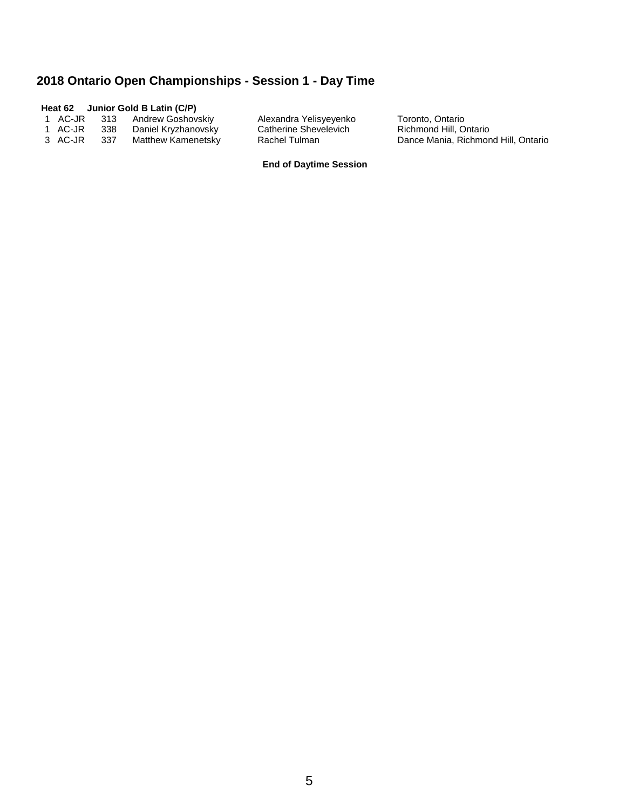#### **Heat 62 Junior Gold B Latin (C/P)**

 1 AC-JR 313 Andrew Goshovskiy Alexandra Yelisyeyenko Toronto, Ontario 1 AC-JR 338 Daniel Kryzhanovsky Catherine Shevelevich Richmond Hill, Ontario 3 AC-JR 337 Matthew Kamenetsky Rachel Tulman Dance Mania, Richmond Hill, Ontario

#### **End of Daytime Session**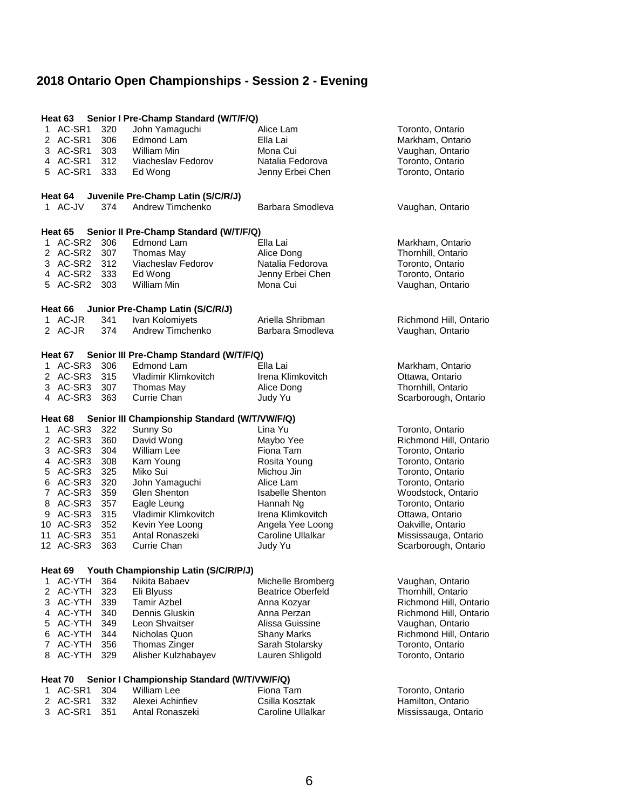# **2018 Ontario Open Championships - Session 2 - Evening**

| Heat 63             |     | Senior I Pre-Champ Standard (W/T/F/Q)                        |                          |                        |
|---------------------|-----|--------------------------------------------------------------|--------------------------|------------------------|
| 1 AC-SR1            | 320 | John Yamaguchi                                               | Alice Lam                | Toronto, Ontario       |
| 2 AC-SR1            | 306 | Edmond Lam                                                   | Ella Lai                 | Markham, Ontario       |
| 3 AC-SR1            | 303 | William Min                                                  | Mona Cui                 | Vaughan, Ontario       |
| 4 AC-SR1            | 312 | Viacheslav Fedorov                                           | Natalia Fedorova         | Toronto, Ontario       |
| 5 AC-SR1            | 333 | Ed Wong                                                      | Jenny Erbei Chen         | Toronto, Ontario       |
|                     |     |                                                              |                          |                        |
|                     |     | Heat 64 Juvenile Pre-Champ Latin (S/C/R/J)                   |                          |                        |
| 1 AC-JV             | 374 | Andrew Timchenko                                             | Barbara Smodleva         | Vaughan, Ontario       |
| Heat 65             |     |                                                              |                          |                        |
| 1 AC-SR2            | 306 | Senior II Pre-Champ Standard (W/T/F/Q)<br>Edmond Lam         | Ella Lai                 | Markham, Ontario       |
| 2 AC-SR2            | 307 | Thomas May                                                   | Alice Dong               | Thornhill, Ontario     |
| 3 AC-SR2 312        |     | Viacheslav Fedorov                                           | Natalia Fedorova         | Toronto, Ontario       |
| 4 AC-SR2 333        |     | Ed Wong                                                      | Jenny Erbei Chen         | Toronto, Ontario       |
| 5 AC-SR2            | 303 | William Min                                                  | Mona Cui                 | Vaughan, Ontario       |
|                     |     |                                                              |                          |                        |
| Heat 66<br>1 AC-JR  | 341 | Junior Pre-Champ Latin (S/C/R/J)<br>Ivan Kolomiyets          | Ariella Shribman         | Richmond Hill, Ontario |
| 2 AC-JR             | 374 | Andrew Timchenko                                             | Barbara Smodleva         | Vaughan, Ontario       |
|                     |     |                                                              |                          |                        |
| Heat 67<br>1 AC-SR3 | 306 | Senior III Pre-Champ Standard (W/T/F/Q)<br><b>Edmond Lam</b> | Ella Lai                 | Markham, Ontario       |
| 2 AC-SR3            | 315 | Vladimir Klimkovitch                                         | Irena Klimkovitch        | Ottawa, Ontario        |
| 3 AC-SR3            | 307 | Thomas May                                                   | Alice Dong               | Thornhill, Ontario     |
| 4 AC-SR3            | 363 | Currie Chan                                                  | Judy Yu                  | Scarborough, Ontario   |
|                     |     |                                                              |                          |                        |
| Heat 68             |     | Senior III Championship Standard (W/T/VW/F/Q)                |                          |                        |
| 1 AC-SR3            | 322 | Sunny So                                                     | Lina Yu                  | Toronto, Ontario       |
| 2 AC-SR3            | 360 | David Wong                                                   | Maybo Yee                | Richmond Hill, Ontario |
| 3 AC-SR3            | 304 | <b>William Lee</b>                                           | Fiona Tam                | Toronto, Ontario       |
| 4 AC-SR3 308        |     | Kam Young                                                    | Rosita Young             | Toronto, Ontario       |
| 5 AC-SR3 325        |     | Miko Sui                                                     | Michou Jin               | Toronto, Ontario       |
| 6 AC-SR3            | 320 | John Yamaguchi                                               | Alice Lam                | Toronto, Ontario       |
| 7 AC-SR3            | 359 | Glen Shenton                                                 | <b>Isabelle Shenton</b>  | Woodstock, Ontario     |
| 8 AC-SR3            | 357 | Eagle Leung                                                  | Hannah Ng                | Toronto, Ontario       |
| 9 AC-SR3            | 315 | Vladimir Klimkovitch                                         | Irena Klimkovitch        | Ottawa, Ontario        |
| 10 AC-SR3           | 352 | Kevin Yee Loong                                              | Angela Yee Loong         | Oakville, Ontario      |
| 11 AC-SR3           | 351 | Antal Ronaszeki                                              | Caroline Ullalkar        | Mississauga, Ontario   |
| 12 AC-SR3           | 363 | Currie Chan                                                  | Judy Yu                  | Scarborough, Ontario   |
| Heat 69             |     | Youth Championship Latin (S/C/R/P/J)                         |                          |                        |
| 1 AC-YTH            | 364 | Nikita Babaev                                                | Michelle Bromberg        | Vaughan, Ontario       |
| 2 AC-YTH            | 323 | Eli Blyuss                                                   | <b>Beatrice Oberfeld</b> | Thornhill, Ontario     |
| 3 AC-YTH            | 339 | <b>Tamir Azbel</b>                                           | Anna Kozyar              | Richmond Hill, Ontario |
| 4 AC-YTH            | 340 | Dennis Gluskin                                               | Anna Perzan              | Richmond Hill, Ontario |
| 5 AC-YTH            | 349 | Leon Shvaitser                                               | Alissa Guissine          | Vaughan, Ontario       |
| 6 AC-YTH            | 344 | Nicholas Quon                                                | <b>Shany Marks</b>       | Richmond Hill, Ontario |
| 7 AC-YTH            | 356 | Thomas Zinger                                                | Sarah Stolarsky          | Toronto, Ontario       |
| 8 AC-YTH            | 329 | Alisher Kulzhabayev                                          | Lauren Shligold          | Toronto, Ontario       |
|                     |     |                                                              |                          |                        |
| Heat 70             |     | Senior I Championship Standard (W/T/VW/F/Q)                  |                          |                        |
| 1 AC-SR1            | 304 | William Lee                                                  | Fiona Tam                | Toronto, Ontario       |
| 2 AC-SR1            | 332 | Alexei Achinfiev                                             | Csilla Kosztak           | Hamilton, Ontario      |
| 3 AC-SR1            | 351 | Antal Ronaszeki                                              | Caroline Ullalkar        | Mississauga, Ontario   |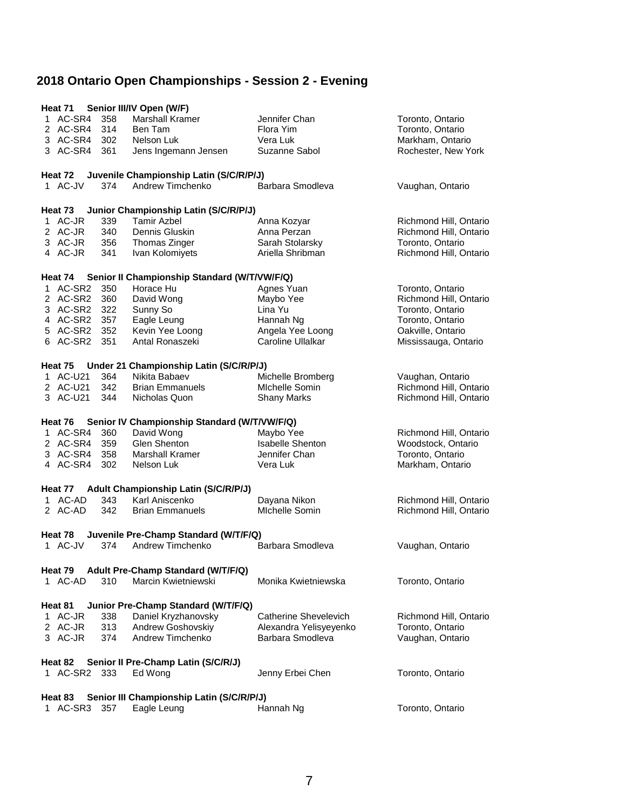## **2018 Ontario Open Championships - Session 2 - Evening**

| Senior III/IV Open (W/F)<br>Heat 71                  |              |     |                                              |                         |                        |  |
|------------------------------------------------------|--------------|-----|----------------------------------------------|-------------------------|------------------------|--|
|                                                      | 1 AC-SR4     | 358 | Marshall Kramer                              | Jennifer Chan           | Toronto, Ontario       |  |
|                                                      | 2 AC-SR4 314 |     | Ben Tam                                      | Flora Yim               | Toronto, Ontario       |  |
|                                                      | 3 AC-SR4 302 |     | Nelson Luk                                   | Vera Luk                | Markham, Ontario       |  |
|                                                      | 3 AC-SR4     | 361 | Jens Ingemann Jensen                         | Suzanne Sabol           | Rochester, New York    |  |
|                                                      |              |     |                                              |                         |                        |  |
|                                                      | Heat 72      |     | Juvenile Championship Latin (S/C/R/P/J)      |                         |                        |  |
|                                                      | 1 AC-JV      | 374 | Andrew Timchenko                             | Barbara Smodleva        | Vaughan, Ontario       |  |
|                                                      |              |     |                                              |                         |                        |  |
|                                                      | Heat 73      |     | Junior Championship Latin (S/C/R/P/J)        |                         |                        |  |
|                                                      | 1 AC-JR      | 339 | <b>Tamir Azbel</b>                           |                         | Richmond Hill, Ontario |  |
|                                                      |              |     |                                              | Anna Kozyar             |                        |  |
|                                                      | 2 AC-JR      | 340 | Dennis Gluskin                               | Anna Perzan             | Richmond Hill, Ontario |  |
|                                                      | 3 AC-JR      | 356 | Thomas Zinger                                | Sarah Stolarsky         | Toronto, Ontario       |  |
|                                                      | 4 AC-JR      | 341 | Ivan Kolomiyets                              | Ariella Shribman        | Richmond Hill, Ontario |  |
|                                                      |              |     |                                              |                         |                        |  |
|                                                      | Heat 74      |     | Senior II Championship Standard (W/T/VW/F/Q) |                         |                        |  |
|                                                      | 1 AC-SR2     | 350 | Horace Hu                                    | Agnes Yuan              | Toronto, Ontario       |  |
|                                                      | 2 AC-SR2 360 |     | David Wong                                   | Maybo Yee               | Richmond Hill, Ontario |  |
|                                                      | 3 AC-SR2     | 322 | Sunny So                                     | Lina Yu                 | Toronto, Ontario       |  |
|                                                      | 4 AC-SR2 357 |     | Eagle Leung                                  | Hannah Ng               | Toronto, Ontario       |  |
|                                                      | 5 AC-SR2     | 352 | Kevin Yee Loong                              | Angela Yee Loong        | Oakville, Ontario      |  |
|                                                      | 6 AC-SR2 351 |     | Antal Ronaszeki                              | Caroline Ullalkar       | Mississauga, Ontario   |  |
|                                                      |              |     |                                              |                         |                        |  |
|                                                      | Heat 75      |     | Under 21 Championship Latin (S/C/R/P/J)      |                         |                        |  |
|                                                      | 1 AC-U21     | 364 | Nikita Babaev                                | Michelle Bromberg       | Vaughan, Ontario       |  |
|                                                      | 2 AC-U21     | 342 | <b>Brian Emmanuels</b>                       | Michelle Somin          | Richmond Hill, Ontario |  |
|                                                      | 3 AC-U21     | 344 | Nicholas Quon                                | <b>Shany Marks</b>      | Richmond Hill, Ontario |  |
|                                                      |              |     |                                              |                         |                        |  |
|                                                      | Heat 76      |     | Senior IV Championship Standard (W/T/VW/F/Q) |                         |                        |  |
|                                                      | 1 AC-SR4     | 360 | David Wong                                   | Maybo Yee               | Richmond Hill, Ontario |  |
|                                                      | 2 AC-SR4     | 359 | Glen Shenton                                 | <b>Isabelle Shenton</b> | Woodstock, Ontario     |  |
|                                                      | 3 AC-SR4     | 358 | Marshall Kramer                              | Jennifer Chan           | Toronto, Ontario       |  |
|                                                      | 4 AC-SR4     | 302 | Nelson Luk                                   | Vera Luk                | Markham, Ontario       |  |
|                                                      |              |     |                                              |                         |                        |  |
|                                                      |              |     | Heat 77 Adult Championship Latin (S/C/R/P/J) |                         |                        |  |
|                                                      | 1 AC-AD      | 343 | Karl Aniscenko                               | Dayana Nikon            | Richmond Hill, Ontario |  |
|                                                      | 2 AC-AD      | 342 | <b>Brian Emmanuels</b>                       | Michelle Somin          | Richmond Hill, Ontario |  |
|                                                      |              |     |                                              |                         |                        |  |
|                                                      | Heat 78      |     | Juvenile Pre-Champ Standard (W/T/F/Q)        |                         |                        |  |
|                                                      | 1 AC-JV      | 374 | Andrew Timchenko                             | Barbara Smodleva        | Vaughan, Ontario       |  |
|                                                      |              |     |                                              |                         |                        |  |
| Adult Pre-Champ Standard (W/T/F/Q)<br>Heat 79        |              |     |                                              |                         |                        |  |
|                                                      | 1 AC-AD      | 310 | Marcin Kwietniewski                          | Monika Kwietniewska     | Toronto, Ontario       |  |
|                                                      |              |     |                                              |                         |                        |  |
| Heat 81<br>Junior Pre-Champ Standard (W/T/F/Q)       |              |     |                                              |                         |                        |  |
|                                                      | 1 AC-JR      | 338 | Daniel Kryzhanovsky                          | Catherine Shevelevich   | Richmond Hill, Ontario |  |
|                                                      | 2 AC-JR      | 313 | Andrew Goshovskiy                            | Alexandra Yelisyeyenko  | Toronto, Ontario       |  |
|                                                      | 3 AC-JR      | 374 | Andrew Timchenko                             | Barbara Smodleva        |                        |  |
|                                                      |              |     |                                              |                         | Vaughan, Ontario       |  |
| Senior II Pre-Champ Latin (S/C/R/J)<br>Heat 82       |              |     |                                              |                         |                        |  |
|                                                      | 1 AC-SR2     | 333 | Ed Wong                                      | Jenny Erbei Chen        | Toronto, Ontario       |  |
|                                                      |              |     |                                              |                         |                        |  |
| Senior III Championship Latin (S/C/R/P/J)<br>Heat 83 |              |     |                                              |                         |                        |  |
|                                                      | 1 AC-SR3     | 357 | Eagle Leung                                  | Hannah Ng               | Toronto, Ontario       |  |
|                                                      |              |     |                                              |                         |                        |  |